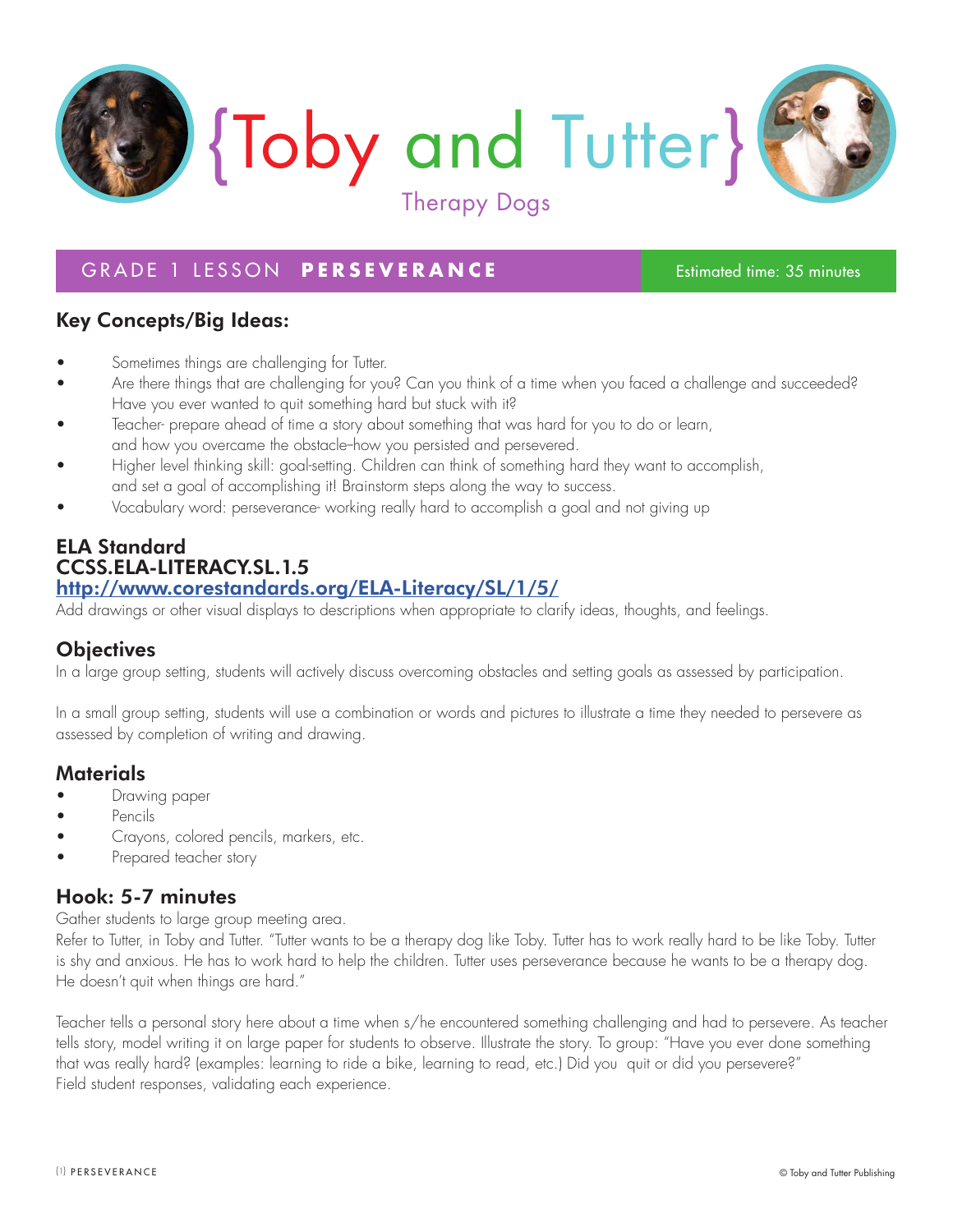# {Toby and Tutter}



Therapy Dogs

## GRADE 1 LESSON **PERSEVERANCE** Estimated time: 35 minutes

## **Key Concepts/Big Ideas:**

- Sometimes things are challenging for Tutter.
- Are there things that are challenging for you? Can you think of a time when you faced a challenge and succeeded? Have you ever wanted to quit something hard but stuck with it?
- Teacher- prepare ahead of time a story about something that was hard for you to do or learn, and how you overcame the obstacle-how you persisted and persevered.
- Higher level thinking skill: goal-setting. Children can think of something hard they want to accomplish, and set a goal of accomplishing it! Brainstorm steps along the way to success.
- Vocabulary word: perseverance- working really hard to accomplish a goal and not giving up

## **ELA Standard CCSS.ELA-LITERACY.SL.1.5 http://www.corestandards.org/ELA-Literacy/SL/1/5/**

Add drawings or other visual displays to descriptions when appropriate to clarify ideas, thoughts, and feelings.

## **Objectives**

In a large group setting, students will actively discuss overcoming obstacles and setting goals as assessed by participation.

In a small group setting, students will use a combination or words and pictures to illustrate a time they needed to persevere as assessed by completion of writing and drawing.

## **Materials**

- Drawing paper
- Pencils
- Crayons, colored pencils, markers, etc.
- Prepared teacher story

## **Hook: 5-7 minutes**

#### Gather students to large group meeting area.

Refer to Tutter, in Toby and Tutter. "Tutter wants to be a therapy dog like Toby. Tutter has to work really hard to be like Toby. Tutter is shy and anxious. He has to work hard to help the children. Tutter uses perseverance because he wants to be a therapy dog. He doesn't quit when things are hard."

Teacher tells a personal story here about a time when s/he encountered something challenging and had to persevere. As teacher tells story, model writing it on large paper for students to observe. Illustrate the story. To group: "Have you ever done something that was really hard? (examples: learning to ride a bike, learning to read, etc.) Did you quit or did you persevere?" Field student responses, validating each experience.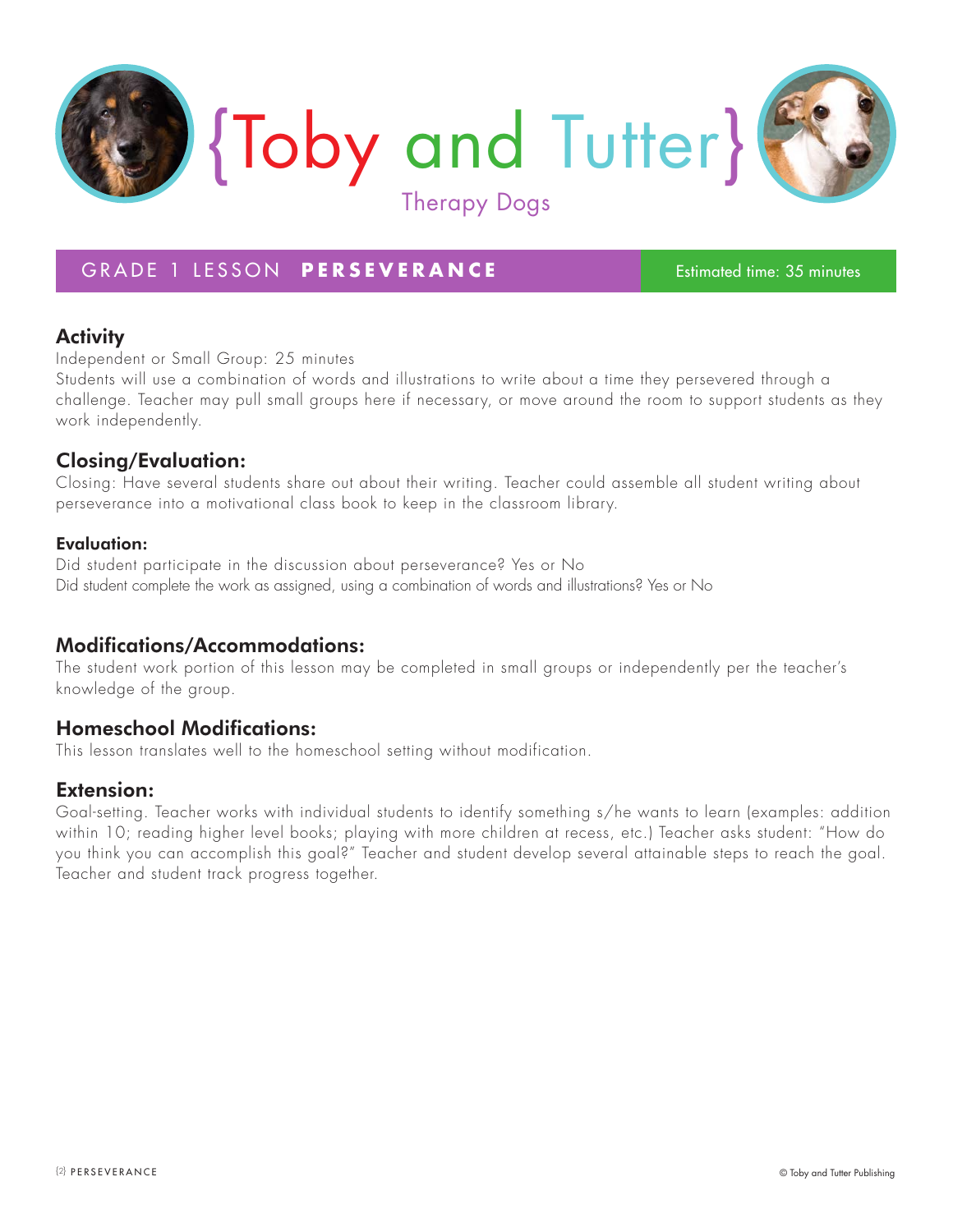

## GRADE 1 LESSON **PERSEVERANCE** Estimated time: 35 minutes

## **Activity**

Independent or Small Group: 25 minutes

Students will use a combination of words and illustrations to write about a time they persevered through a challenge. Teacher may pull small groups here if necessary, or move around the room to support students as they work independently.

## **Closing/Evaluation:**

Closing: Have several students share out about their writing. Teacher could assemble all student writing about perseverance into a motivational class book to keep in the classroom library.

#### **Evaluation:**

Did student participate in the discussion about perseverance? Yes or No Did student complete the work as assigned, using a combination of words and illustrations? Yes or No

#### **Modifications/Accommodations:**

The student work portion of this lesson may be completed in small groups or independently per the teacher's knowledge of the group.

## **Homeschool Modifications:**

This lesson translates well to the homeschool setting without modification.

## **Extension:**

Goal-setting. Teacher works with individual students to identify something s/he wants to learn (examples: addition within 10; reading higher level books; playing with more children at recess, etc.) Teacher asks student: "How do you think you can accomplish this goal?" Teacher and student develop several attainable steps to reach the goal. Teacher and student track progress together.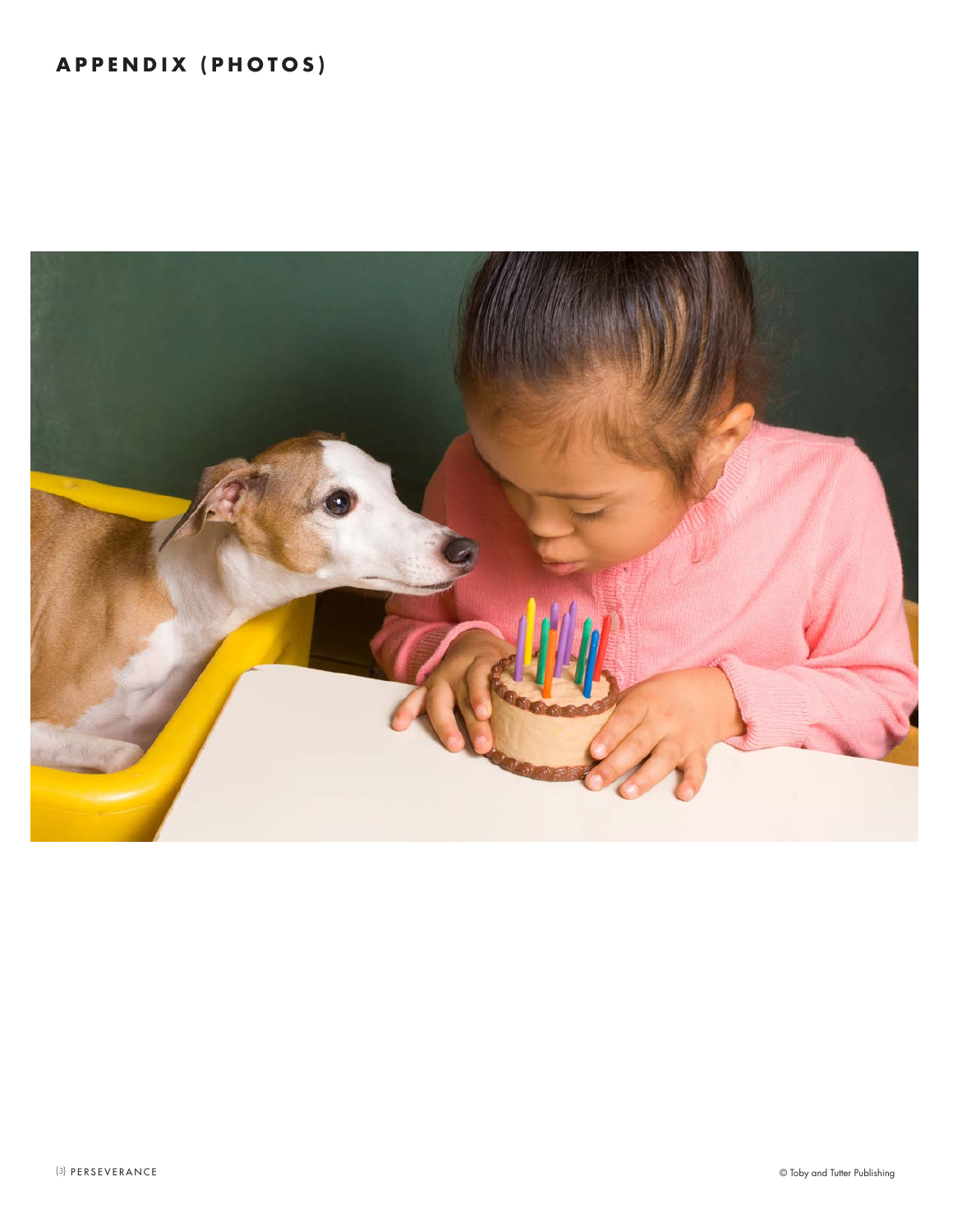# **APPENDIX (PHOTOS)**

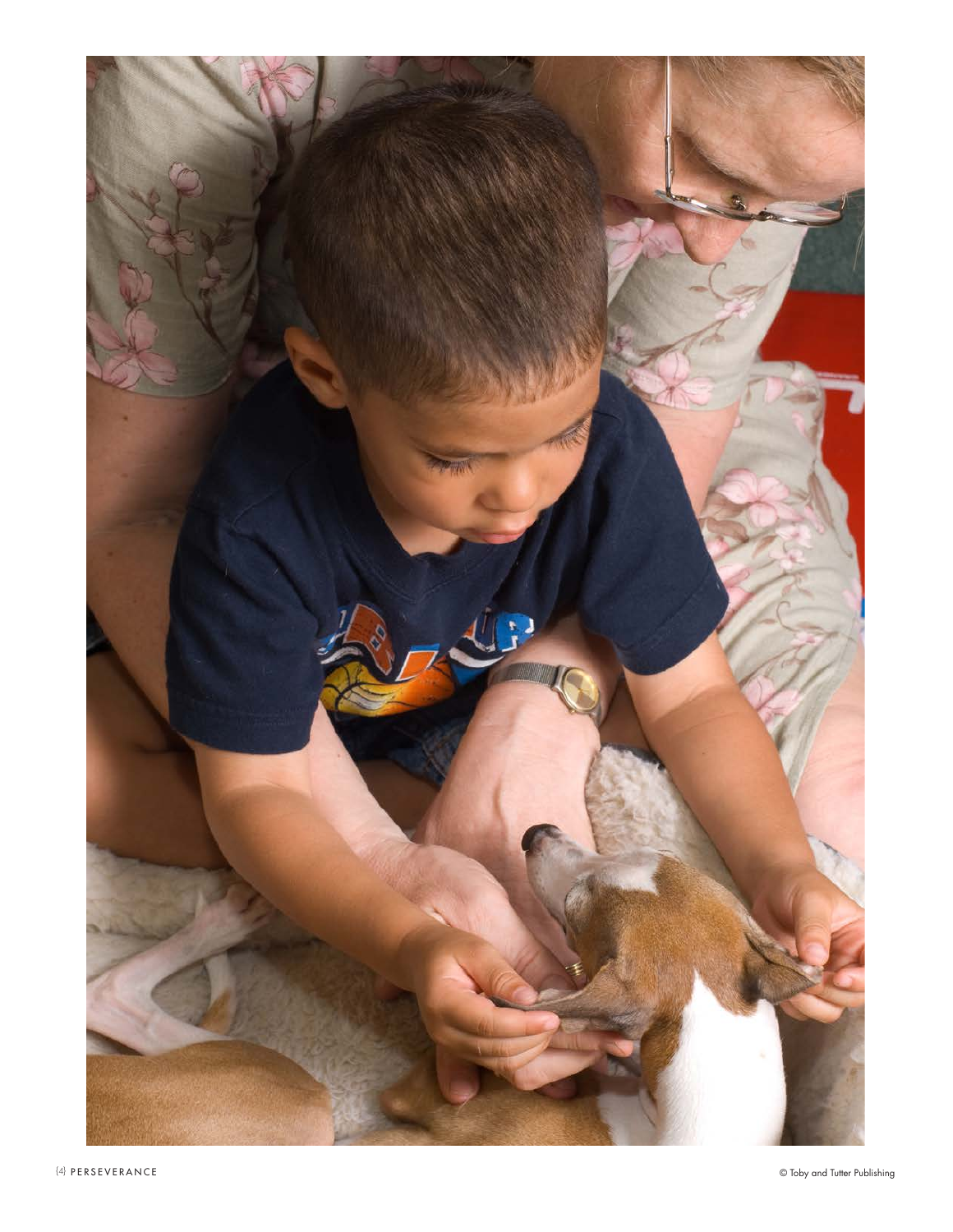